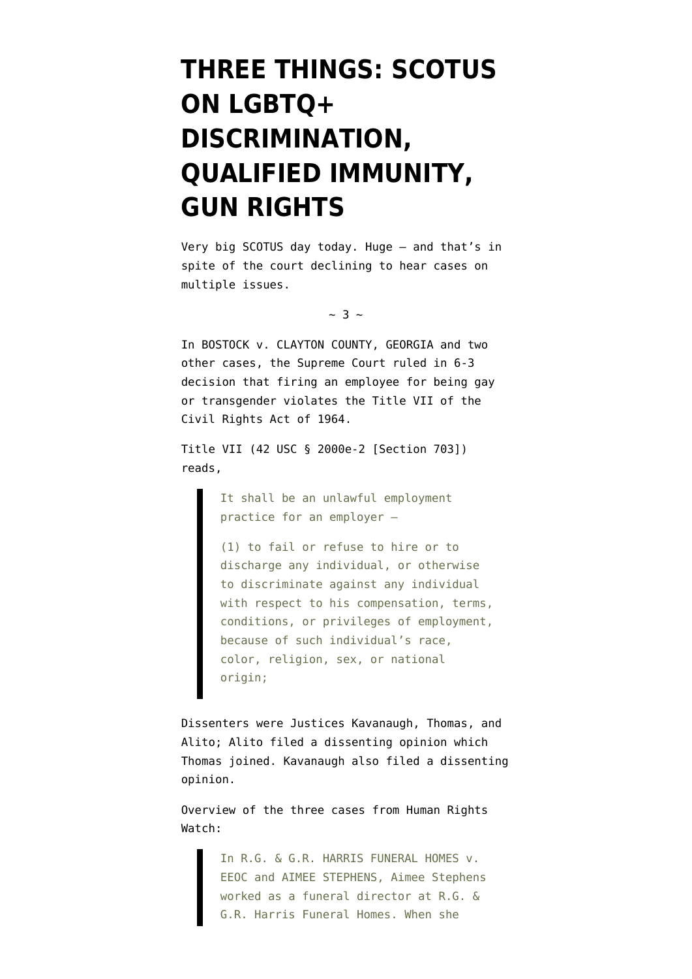## **[THREE THINGS: SCOTUS](https://www.emptywheel.net/2020/06/15/three-things-scotus-on-lgbtq-discrimination-qualified-immunity-gun-rights/) [ON LGBTQ+](https://www.emptywheel.net/2020/06/15/three-things-scotus-on-lgbtq-discrimination-qualified-immunity-gun-rights/) [DISCRIMINATION,](https://www.emptywheel.net/2020/06/15/three-things-scotus-on-lgbtq-discrimination-qualified-immunity-gun-rights/) [QUALIFIED IMMUNITY,](https://www.emptywheel.net/2020/06/15/three-things-scotus-on-lgbtq-discrimination-qualified-immunity-gun-rights/) [GUN RIGHTS](https://www.emptywheel.net/2020/06/15/three-things-scotus-on-lgbtq-discrimination-qualified-immunity-gun-rights/)**

Very big SCOTUS day today. Huge — and that's in spite of the court declining to hear cases on multiple issues.

 $\sim$  3  $\sim$ 

In BOSTOCK v. CLAYTON COUNTY, GEORGIA and two other cases, the Supreme Court ruled in 6-3 decision that firing an employee for being gay or transgender violates the Title VII of the Civil Rights Act of 1964.

[Title VII](https://www.eeoc.gov/statutes/title-vii-civil-rights-act-1964) (42 USC § 2000e-2 [Section 703]) reads,

> It shall be an unlawful employment practice for an employer –

(1) to fail or refuse to hire or to discharge any individual, or otherwise to discriminate against any individual with respect to his compensation, terms, conditions, or privileges of employment, because of such individual's race, color, religion, sex, or national origin;

Dissenters were Justices Kavanaugh, Thomas, and Alito; Alito filed a dissenting opinion which Thomas joined. Kavanaugh also filed a dissenting opinion.

Overview of the three cases from [Human Rights](https://www.hrc.org/blog/hrc-supreme-court-is-on-right-side-of-history-for-lgbtq-rights) [Watch](https://www.hrc.org/blog/hrc-supreme-court-is-on-right-side-of-history-for-lgbtq-rights):

> In R.G. & G.R. HARRIS FUNERAL HOMES v. EEOC and AIMEE STEPHENS, Aimee Stephens worked as a funeral director at R.G. & G.R. Harris Funeral Homes. When she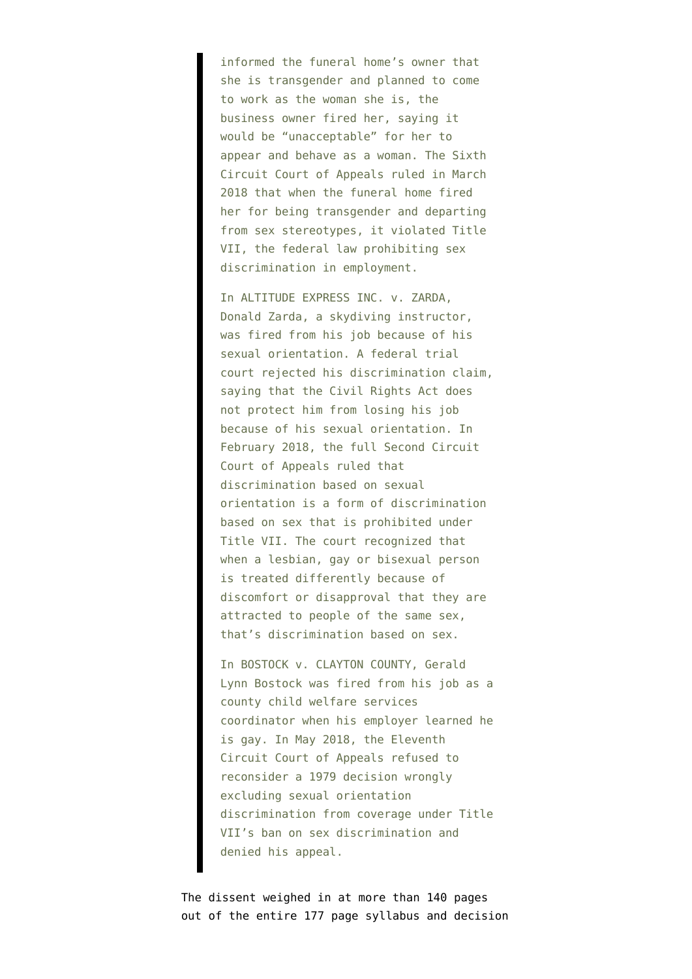informed the funeral home's owner that she is transgender and planned to come to work as the woman she is, the business owner fired her, saying it would be "unacceptable" for her to appear and behave as a woman. The Sixth Circuit Court of Appeals ruled in March 2018 that when the funeral home fired her for being transgender and departing from sex stereotypes, it violated Title VII, the federal law prohibiting sex discrimination in employment.

In ALTITUDE EXPRESS INC. v. ZARDA, Donald Zarda, a skydiving instructor, was fired from his job because of his sexual orientation. A federal trial court rejected his discrimination claim, saying that the Civil Rights Act does not protect him from losing his job because of his sexual orientation. In February 2018, the full Second Circuit Court of Appeals ruled that discrimination based on sexual orientation is a form of discrimination based on sex that is prohibited under Title VII. The court recognized that when a lesbian, gay or bisexual person is treated differently because of discomfort or disapproval that they are attracted to people of the same sex, that's discrimination based on sex.

In BOSTOCK v. CLAYTON COUNTY, Gerald Lynn Bostock was fired from his job as a county child welfare services coordinator when his employer learned he is gay. In May 2018, the Eleventh Circuit Court of Appeals refused to reconsider a 1979 decision wrongly excluding sexual orientation discrimination from coverage under Title VII's ban on sex discrimination and denied his appeal.

The dissent weighed in at more than 140 pages out of the entire 177 page syllabus and decision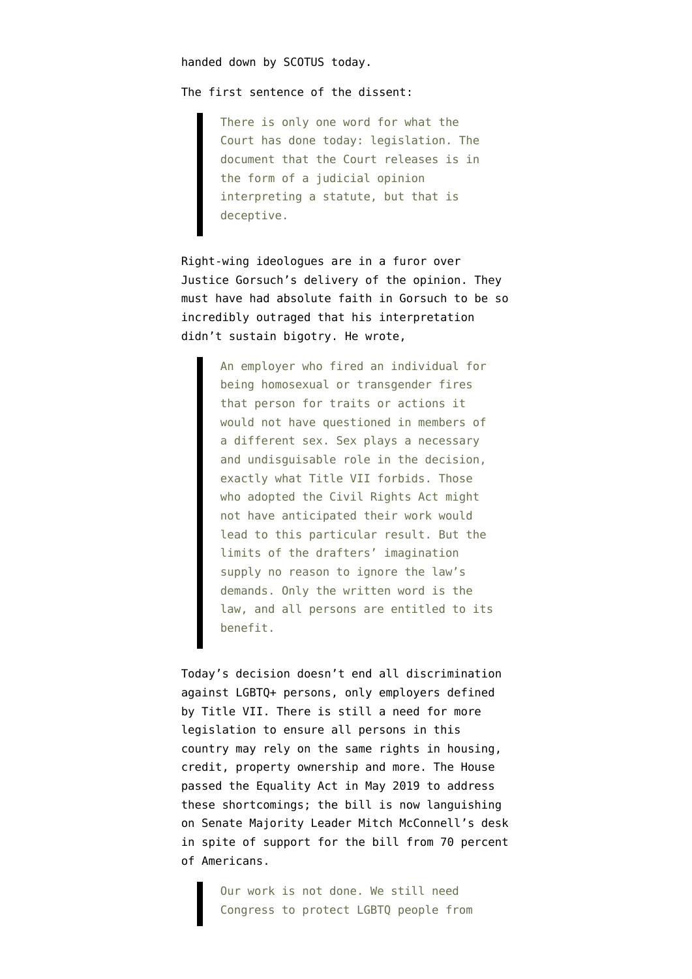handed down by SCOTUS today.

The first sentence of the dissent:

There is only one word for what the Court has done today: legislation. The document that the Court releases is in the form of a judicial opinion interpreting a statute, but that is deceptive.

Right-wing ideologues are in a furor over Justice Gorsuch's delivery of the opinion. They must have had absolute faith in Gorsuch to be so incredibly outraged that his interpretation didn't sustain bigotry. He wrote,

> An employer who fired an individual for being homosexual or transgender fires that person for traits or actions it would not have questioned in members of a different sex. Sex plays a necessary and undisguisable role in the decision, exactly what Title VII forbids. Those who adopted the Civil Rights Act might not have anticipated their work would lead to this particular result. But the limits of the drafters' imagination supply no reason to ignore the law's demands. Only the written word is the law, and all persons are entitled to its benefit.

Today's decision doesn't end all discrimination against LGBTQ+ persons, only employers defined by Title VII. There is still a need for more legislation to ensure all persons in this country may rely on the same rights in housing, credit, property ownership and more. The House passed the Equality Act in May 2019 to address these shortcomings; the bill is now languishing on Senate Majority Leader Mitch McConnell's desk in spite of support for the bill from 70 percent of Americans.

> Our work is not done. We still need Congress to protect LGBTQ people from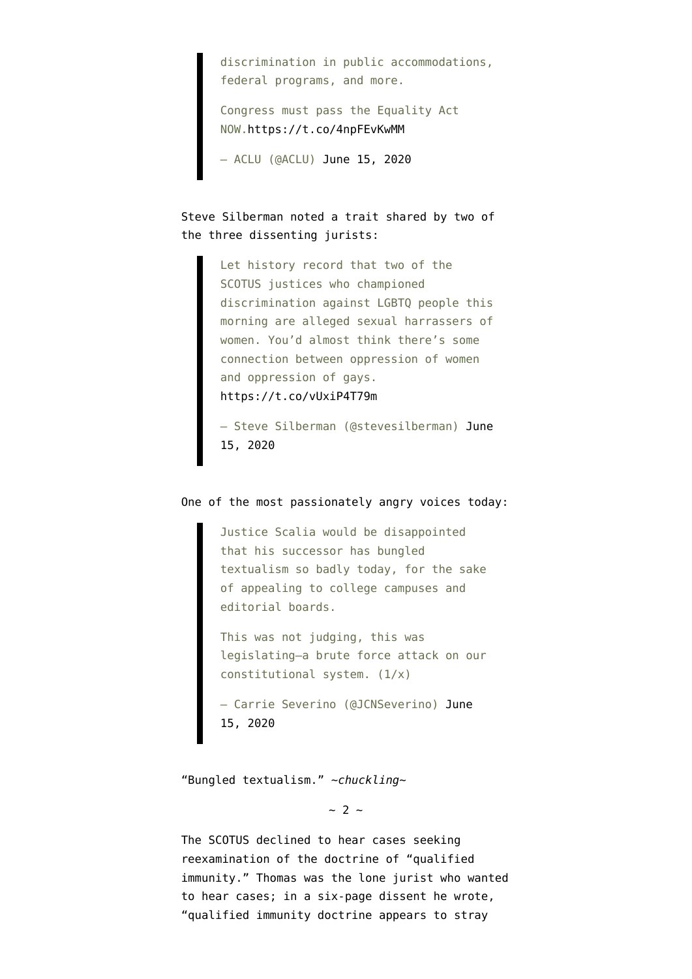discrimination in public accommodations, federal programs, and more.

Congress must pass the Equality Act NOW[.https://t.co/4npFEvKwMM](https://t.co/4npFEvKwMM)

— ACLU (@ACLU) [June 15, 2020](https://twitter.com/ACLU/status/1272535664266039297?ref_src=twsrc%5Etfw)

Steve Silberman noted a trait shared by two of the three dissenting jurists:

> Let history record that two of the SCOTUS justices who championed discrimination against LGBTQ people this morning are alleged sexual harrassers of women. You'd almost think there's some connection between oppression of women and oppression of gays. <https://t.co/vUxiP4T79m>

> — Steve Silberman (@stevesilberman) [June](https://twitter.com/stevesilberman/status/1272567095209783296?ref_src=twsrc%5Etfw) [15, 2020](https://twitter.com/stevesilberman/status/1272567095209783296?ref_src=twsrc%5Etfw)

## One of the most passionately angry voices today:

Justice Scalia would be disappointed that his successor has bungled textualism so badly today, for the sake of appealing to college campuses and editorial boards.

This was not judging, this was legislating—a brute force attack on our constitutional system. (1/x)

— Carrie Severino (@JCNSeverino) [June](https://twitter.com/JCNSeverino/status/1272537436791484416?ref_src=twsrc%5Etfw) [15, 2020](https://twitter.com/JCNSeverino/status/1272537436791484416?ref_src=twsrc%5Etfw)

"Bungled textualism." ~*chuckling*~

 $\sim$  2  $\sim$ 

The SCOTUS [declined to hear cases](https://www.npr.org/2020/06/15/876853817/supreme-court-will-not-re-examine-doctrine-that-shields-police-in-misconduct-sui) seeking reexamination of the doctrine of "qualified immunity." Thomas was the lone jurist who wanted to hear cases; in a [six-page dissent](https://www.supremecourt.gov/orders/courtorders/061520zor_f2bh.pdf) he wrote, "qualified immunity doctrine appears to stray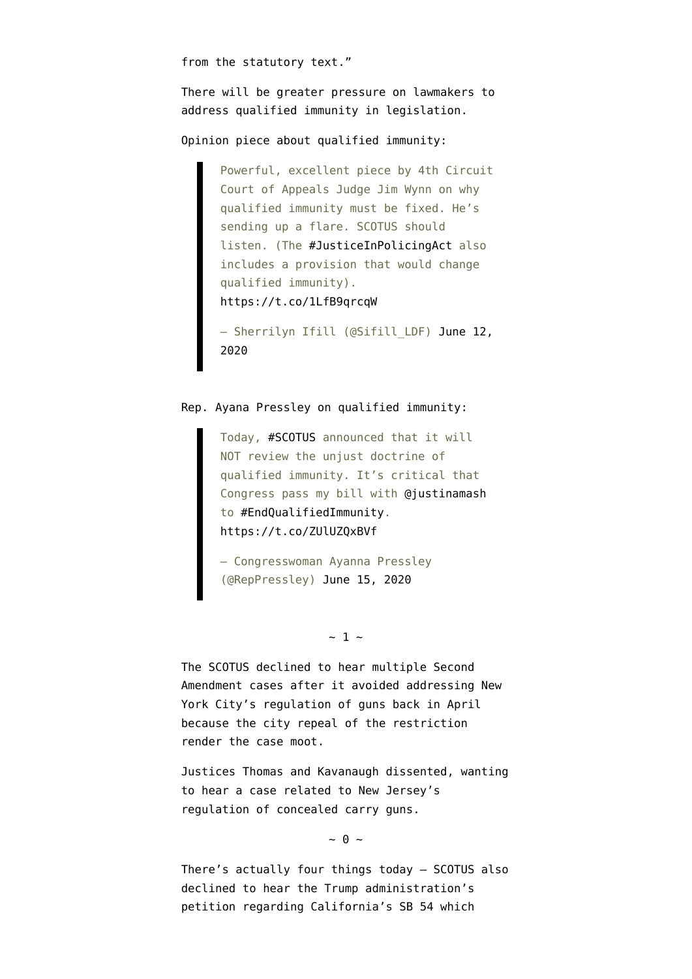from the statutory text."

There will be greater pressure on lawmakers to address qualified immunity in legislation.

Opinion piece about qualified immunity:

Powerful, excellent piece by 4th Circuit Court of Appeals Judge Jim Wynn on why qualified immunity must be fixed. He's sending up a flare. SCOTUS should listen. (The [#JusticeInPolicingAct](https://twitter.com/hashtag/JusticeInPolicingAct?src=hash&ref_src=twsrc%5Etfw) also includes a provision that would change qualified immunity). <https://t.co/1LfB9qrcqW>

- Sherrilyn Ifill (@Sifill LDF) [June 12,](https://twitter.com/Sifill_LDF/status/1271443042252345345?ref_src=twsrc%5Etfw) [2020](https://twitter.com/Sifill_LDF/status/1271443042252345345?ref_src=twsrc%5Etfw)

## Rep. Ayana Pressley on qualified immunity:

Today, [#SCOTUS](https://twitter.com/hashtag/SCOTUS?src=hash&ref_src=twsrc%5Etfw) announced that it will NOT review the unjust doctrine of qualified immunity. It's critical that Congress pass my bill with [@justinamash](https://twitter.com/justinamash?ref_src=twsrc%5Etfw) to [#EndQualifiedImmunity.](https://twitter.com/hashtag/EndQualifiedImmunity?src=hash&ref_src=twsrc%5Etfw) <https://t.co/ZUlUZQxBVf>

— Congresswoman Ayanna Pressley (@RepPressley) [June 15, 2020](https://twitter.com/RepPressley/status/1272575869400371200?ref_src=twsrc%5Etfw)

## $\sim$  1  $\sim$

The SCOTUS [declined to hear multiple Second](https://news.yahoo.com/u-supreme-court-declines-hear-135425800.html) [Amendment cases](https://news.yahoo.com/u-supreme-court-declines-hear-135425800.html) after it avoided addressing New York City's regulation of guns [back in April](https://www.usatoday.com/story/news/politics/2020/04/27/guns-supreme-court-setback-national-rifle-association/2634492001/) because the city repeal of the restriction render the case moot.

Justices Thomas and Kavanaugh dissented, wanting to hear a case related to New Jersey's regulation of concealed carry guns.

 $\sim \theta \sim$ 

There's actually four things today — SCOTUS also [declined to hear the Trump administration's](https://www.courthousenews.com/supreme-court-rejects-trump-challenge-of-california-sanctuary-laws/) [petition](https://www.courthousenews.com/supreme-court-rejects-trump-challenge-of-california-sanctuary-laws/) regarding California's SB 54 which